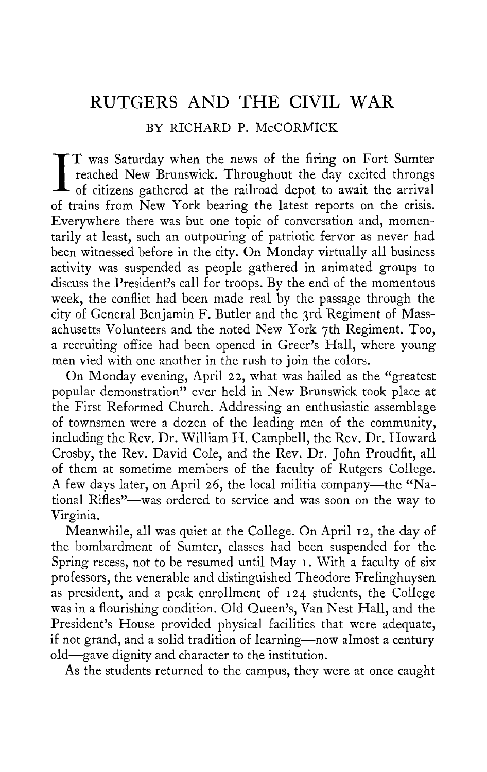## RUTGERS AND THE CIVIL WAR

BY RICHARD P. McCORMICK

I T was Saturday when the news of the firing on Fort Sumter<br>reached New Brunswick. Throughout the day excited throngs<br>of citizens gathered at the railroad depot to await the arrival<br>of twins from New York begins the latest TT was Saturday when the news of the firing on Fort Sumter reached New Brunswick. Throughout the day excited throngs of trains from New York bearing the latest reports on the crisis. Everywhere there was but one topic of conversation and, momentarily at least, such an outpouring of patriotic fervor as never had been witnessed before in the city. On Monday virtually all business activity was suspended as people gathered in animated groups to discuss the President's call for troops. By the end of the momentous week, the conflict had been made real by the passage through the city of General Benjamin F. Butler and the 3rd Regiment of Massachusetts Volunteers and the noted New York 7th Regiment. Too, a recruiting office had been opened in Greer's Hall, where young men vied with one another in the rush to join the colors.

On Monday evening, April 22, what was hailed as the "greatest popular demonstration" ever held in New Brunswick took place at the First Reformed Church. Addressing an enthusiastic assemblage of townsmen were a dozen of the leading men of the community, including the Rev. Dr. William H. Campbell, the Rev. Dr. Howard Crosby, the Rev. David Cole, and the Rev. Dr. John Proudfit, all of them at sometime members of the faculty of Rutgers College. A few days later, on April 26, the local militia company—the "National Rifles"—was ordered to service and was soon on the way to Virginia.

Meanwhile, all was quiet at the College. On April 12, the day of the bombardment of Sumter, classes had been suspended for the Spring recess, not to be resumed until May 1. With a faculty of six professors, the venerable and distinguished Theodore Frelinghuysen as president, and a peak enrollment of 124 students, the College was in a flourishing condition. Old Queen's, Van Nest Hall, and the President's House provided physical facilities that were adequate, if not grand, and a solid tradition of learning—now almost a century old—gave dignity and character to the institution.

As the students returned to the campus, they were at once caught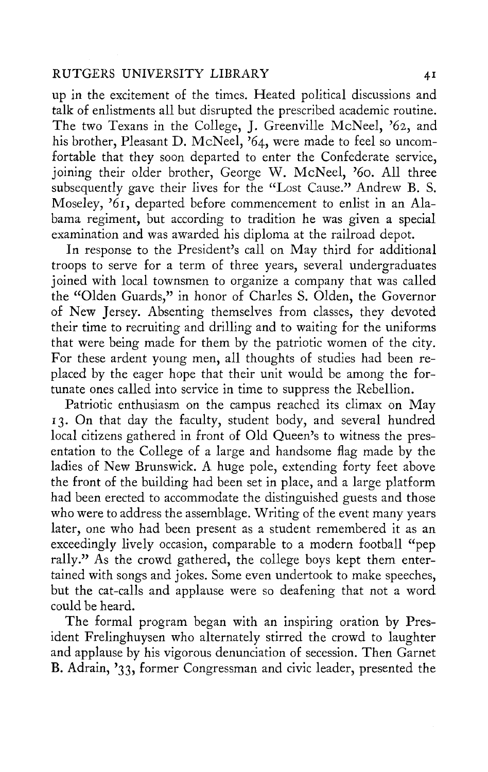## RUTGERS UNIVERSITY LIBRARY 41

up in the excitement of the times. Heated political discussions and talk of enlistments all but disrupted the prescribed academic routine. The two Texans in the College, J. Greenville McNeel, '62, and his brother, Pleasant D. McNeel, '64, were made to feel so uncomfortable that they soon departed to enter the Confederate service, joining their older brother, George W. McNeel, '60. All three subsequently gave their lives for the "Lost Cause." Andrew B. S. Moseley, '61, departed before commencement to enlist in an Alabama regiment, but according to tradition he was given a special examination and was awarded his diploma at the railroad depot.

In response to the President's call on May third for additional troops to serve for a term of three years, several undergraduates joined with local townsmen to organize a company that was called the "Olden Guards," in honor of Charles S. Olden, the Governor of New Jersey. Absenting themselves from classes, they devoted their time to recruiting and drilling and to waiting for the uniforms that were being made for them by the patriotic women of the city. For these ardent young men, all thoughts of studies had been replaced by the eager hope that their unit would be among the fortunate ones called into service in time to suppress the Rebellion.

Patriotic enthusiasm on the campus reached its climax on May 13. On that day the faculty, student body, and several hundred local citizens gathered in front of Old Queen's to witness the presentation to the College of a large and handsome flag made by the ladies of New Brunswick. A huge pole, extending forty feet above the front of the building had been set in place, and a large platform had been erected to accommodate the distinguished guests and those who were to address the assemblage. Writing of the event many years later, one who had been present as a student remembered it as an exceedingly lively occasion, comparable to a modern football "pep rally." As the crowd gathered, the college boys kept them entertained with songs and jokes. Some even undertook to make speeches, but the cat-calls and applause were so deafening that not a word could be heard.

The formal program began with an inspiring oration by President Frelinghuysen who alternately stirred the crowd to laughter and applause by his vigorous denunciation of secession. Then Garnet B. Adrain, '33, former Congressman and civic leader, presented the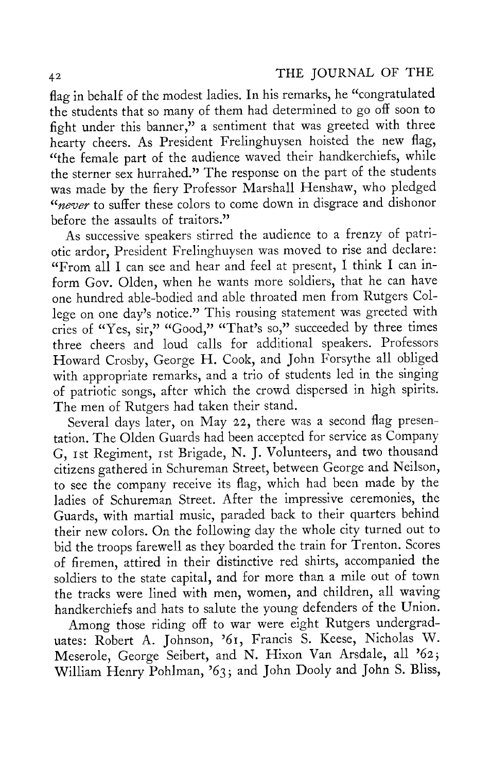flag in behalf of the modest ladies. In his remarks, he "congratulated the students that so many of them had determined to go off soon to fight under this banner," a sentiment that was greeted with three hearty cheers. As President Frelinghuysen hoisted the new flag, "the female part of the audience waved their handkerchiefs, while the sterner sex hurrahed." The response on the part of the students was made by the fiery Professor Marshall Henshaw, who pledged *"never* to suffer these colors to come down in disgrace and dishonor before the assaults of traitors."

As successive speakers stirred the audience to a frenzy of patriotic ardor, President Frelinghuysen was moved to rise and declare: "From all I can see and hear and feel at present, I think I can inform Gov. Olden, when he wants more soldiers, that he can have one hundred able-bodied and able throated men from Rutgers College on one day's notice." This rousing statement was greeted with cries of "Yes, sir," "Good," "That's so," succeeded by three times three cheers and loud calls for additional speakers. Professors Howard Crosby, George H. Cook, and John Forsythe all obliged with appropriate remarks, and a trio of students led in the singing of patriotic songs, after which the crowd dispersed in high spirits. The men of Rutgers had taken their stand.

Several days later, on May 22, there was a second flag presentation. The Olden Guards had been accepted for service as Company G, 1st Regiment, 1st Brigade, N. J. Volunteers, and two thousand citizens gathered in Schureman Street, between George and Neilson, to see the company receive its flag, which had been made by the ladies of Schureman Street. After the impressive ceremonies, the Guards, with martial music, paraded back to their quarters behind their new colors. On the following day the whole city turned out to bid the troops farewell as they boarded the train for Trenton. Scores of firemen, attired in their distinctive red shirts, accompanied the soldiers to the state capital, and for more than a mile out of town the tracks were lined with men, women, and children, all waving handkerchiefs and hats to salute the young defenders of the Union.

Among those riding off to war were eight Rutgers undergraduates: Robert A. Johnson, '61, Francis S. Keese, Nicholas W. Meserole, George Seibert, and N. Hixon Van Arsdale, all '62 j William Henry Pohlman, '63; and John Dooly and John S. Bliss,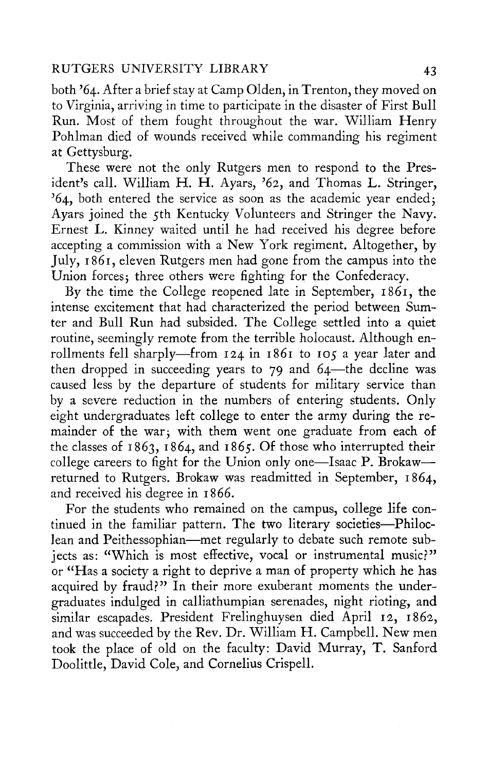## RUTGERS UNIVERSITY LIBRARY 43

both '64. After a brief stay at Camp Olden, in Trenton, they moved on to Virginia, arriving in time to participate in the disaster of First Bull Run. Most of them fought throughout the war. William Henry Pohlman died of wounds received while commanding his regiment at Gettysburg.

These were not the only Rutgers men to respond to the President's call. William H. H. Ayars, '62, and Thomas L. Stringer,  $'64$ , both entered the service as soon as the academic year ended; Ayars joined the 5th Kentucky Volunteers and Stringer the Navy. Ernest L. Kinney waited until he had received his degree before accepting a commission with a New York regiment. Altogether, by July, 1861, eleven Rutgers men had gone from the campus into the Union forces; three others were fighting for the Confederacy.

By the time the College reopened late in September, 1861, the intense excitement that had characterized the period between Sumter and Bull Run had subsided. The College settled into a quiet routine, seemingly remote from the terrible holocaust. Although enrollments fell sharply—from 124 in 1861 to 105 a year later and then dropped in succeeding years to 79 and 64—the decline was caused less by the departure of students for military service than by a severe reduction in the numbers of entering students. Only eight undergraduates left college to enter the army during the remainder of the war; with them went one graduate from each of the classes of 1863, 1864, and 1865. Of those who interrupted their college careers to fight for the Union only one—Isaac P. Brokaw returned to Rutgers. Brokaw was readmitted in September, 1864, and received his degree in 1866.

For the students who remained on the campus, college life continued in the familiar pattern. The two literary societies—Philoclean and Peithessophian—met regularly to debate such remote subjects as: "Which is most effective, vocal or instrumental music?" or "Has a society a right to deprive a man of property which he has acquired by fraud?" In their more exuberant moments the undergraduates indulged in calliathumpian serenades, night rioting, and similar escapades. President Frelinghuysen died April 12, 1862, and was succeeded by the Rev. Dr. William H. Campbell. New men took the place of old on the faculty: David Murray, T. Sanford Doolittle, David Cole, and Cornelius Crispell.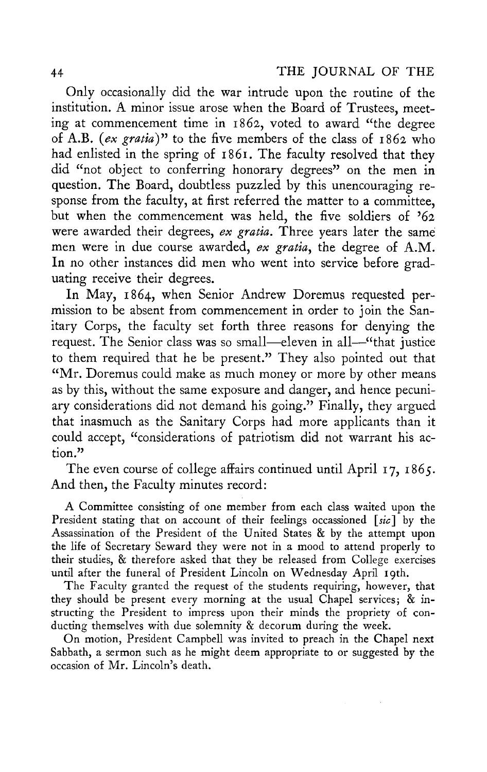Only occasionally did the war intrude upon the routine of the institution. A minor issue arose when the Board of Trustees, meeting at commencement time in 1862, voted to award "the degree of A.B. *(ex gratia*)" to the five members of the class of 1862 who had enlisted in the spring of 1861. The faculty resolved that they did "not object to conferring honorary degrees" on the men in question. The Board, doubtless puzzled by this unencouraging response from the faculty, at first referred the matter to a committee, but when the commencement was held, the five soldiers of '62 were awarded their degrees, *ex gratia.* Three years later the same men were in due course awarded, *ex gratia*, the degree of A.M. In no other instances did men who went into service before graduating receive their degrees.

In May, 1864, when Senior Andrew Doremus requested permission to be absent from commencement in order to join the Sanitary Corps, the faculty set forth three reasons for denying the request. The Senior class was so small—eleven in all—"that justice to them required that he be present." They also pointed out that "Mr. Doremus could make as much money or more by other means as by this, without the same exposure and danger, and hence pecuniary considerations did not demand his going." Finally, they argued that inasmuch as the Sanitary Corps had more applicants than it could accept, "considerations of patriotism did not warrant his action."

The even course of college affairs continued until April 17, 1865. And then, the Faculty minutes record:

A Committee consisting of one member from each class waited upon the President stating that on account of their feelings occassioned *[sic]* by the Assassination of the President of the United States & by the attempt upon the life of Secretary Seward they were not in a mood to attend properly to their studies, & therefore asked that they be released from College exercises until after the funeral of President Lincoln on Wednesday April 19th.

The Faculty granted the request of the students requiring, however, that they should be present every morning at the usual Chapel services; & instructing the President to impress upon their minds the propriety of conducting themselves with due solemnity & decorum during the week.

On motion, President Campbell was invited to preach in the Chapel next Sabbath, a sermon such as he might deem appropriate to or suggested by the occasion of Mr. Lincoln's death.